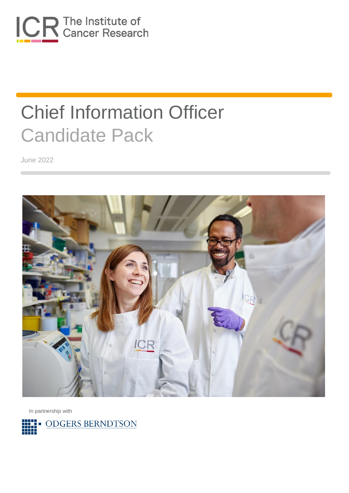

June 2022



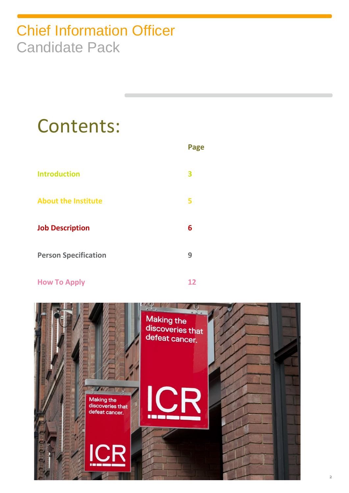# Contents:

|                             | <b>Page</b> |
|-----------------------------|-------------|
| <b>Introduction</b>         | 3           |
| <b>About the Institute</b>  | 5           |
| <b>Job Description</b>      | 6           |
| <b>Person Specification</b> | 9           |
|                             |             |

### **How To Apply 12**

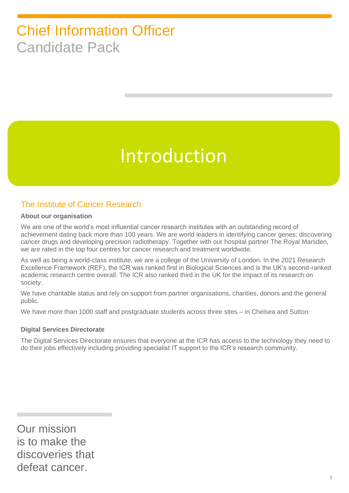# Introduction

### The Institute of Cancer Research

#### **About our organisation**

We are one of the world's most influential cancer research institutes with an outstanding record of achievement dating back more than 100 years. We are world leaders in identifying cancer genes, discovering cancer drugs and developing precision radiotherapy. Together with our hospital partner The Royal Marsden, we are rated in the top four centres for cancer research and treatment worldwide.

As well as being a world-class institute, we are a college of the University of London. In the 2021 Research Excellence Framework (REF), the ICR was ranked first in Biological Sciences and is the UK's second-ranked academic research centre overall. The ICR also ranked third in the UK for the impact of its research on society.

We have charitable status and rely on support from partner organisations, charities, donors and the general public.

We have more than 1000 staff and postgraduate students across three sites – in Chelsea and Sutton.

#### **Digital Services Directorate**

The Digital Services Directorate ensures that everyone at the ICR has access to the technology they need to do their jobs effectively including providing specialist IT support to the ICR's research community.

Our mission is to make the discoveries that defeat cancer.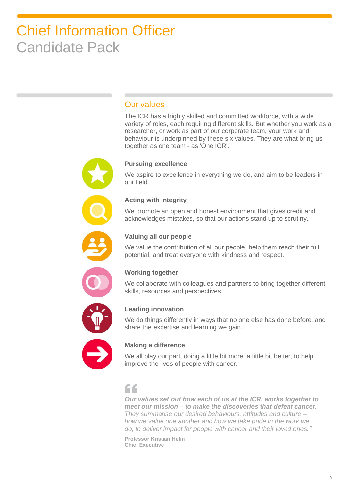### Our values

The ICR has a highly skilled and committed workforce, with a wide variety of roles, each requiring different skills. But whether you work as a researcher, or work as part of our corporate team, your work and behaviour is underpinned by these six values. They are what bring us together as one team - as 'One ICR'.

#### **Pursuing excellence**

We aspire to excellence in everything we do, and aim to be leaders in our field.

#### **Acting with Integrity**

We promote an open and honest environment that gives credit and acknowledges mistakes, so that our actions stand up to scrutiny.



#### **Valuing all our people**

We value the contribution of all our people, help them reach their full potential, and treat everyone with kindness and respect.



#### **Working together**

We collaborate with colleagues and partners to bring together different skills, resources and perspectives.



#### **Leading innovation**

We do things differently in ways that no one else has done before, and share the expertise and learning we gain.



#### **Making a difference**

We all play our part, doing a little bit more, a little bit better, to help improve the lives of people with cancer.

### $\epsilon$

*Our values set out how each of us at the ICR, works together to meet our mission – to make the discoveries that defeat cancer. They summarise our desired behaviours, attitudes and culture – how we value one another and how we take pride in the work we do, to deliver impact for people with cancer and their loved ones."*

**Professor Kristian Helin Chief Executive**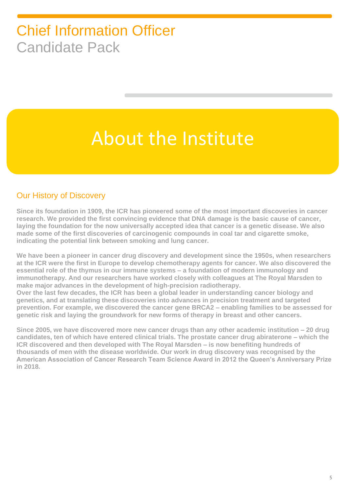# About the Institute

### Our History of Discovery

**Since its foundation in 1909, the ICR has pioneered some of the most important discoveries in cancer research. We provided the first convincing evidence that DNA damage is the basic cause of cancer, laying the foundation for the now universally accepted idea that cancer is a genetic disease. We also made some of the first discoveries of carcinogenic compounds in coal tar and cigarette smoke, indicating the potential link between smoking and lung cancer.**

**We have been a pioneer in cancer drug discovery and development since the 1950s, when researchers at the ICR were the first in Europe to develop chemotherapy agents for cancer. We also discovered the essential role of the thymus in our immune systems – a foundation of modern immunology and immunotherapy. And our researchers have worked closely with colleagues at The Royal Marsden to make major advances in the development of high-precision radiotherapy. Over the last few decades, the ICR has been a global leader in understanding cancer biology and genetics, and at translating these discoveries into advances in precision treatment and targeted prevention. For example, we discovered the cancer gene BRCA2 – enabling families to be assessed for genetic risk and laying the groundwork for new forms of therapy in breast and other cancers.**

**Since 2005, we have discovered more new cancer drugs than any other academic institution – 20 drug candidates, ten of which have entered clinical trials. The prostate cancer drug abiraterone – which the ICR discovered and then developed with The Royal Marsden – is now benefiting hundreds of thousands of men with the disease worldwide. Our work in drug discovery was recognised by the American Association of Cancer Research Team Science Award in 2012 the Queen's Anniversary Prize in 2018.**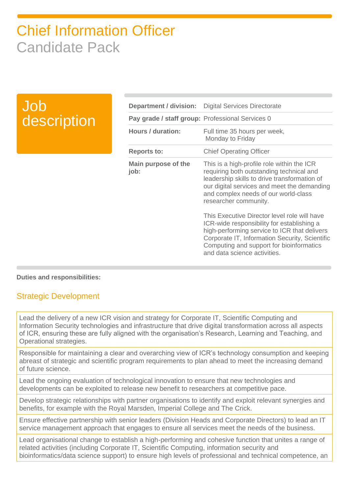### Job description

|                                                  | <b>Department / division:</b> Digital Services Directorate                                                                                                                                                                                                               |
|--------------------------------------------------|--------------------------------------------------------------------------------------------------------------------------------------------------------------------------------------------------------------------------------------------------------------------------|
| Pay grade / staff group: Professional Services 0 |                                                                                                                                                                                                                                                                          |
| <b>Hours / duration:</b>                         | Full time 35 hours per week,<br>Monday to Friday                                                                                                                                                                                                                         |
| <b>Reports to:</b>                               | <b>Chief Operating Officer</b>                                                                                                                                                                                                                                           |
| Main purpose of the<br>job:                      | This is a high-profile role within the ICR<br>requiring both outstanding technical and<br>leadership skills to drive transformation of<br>our digital services and meet the demanding<br>and complex needs of our world-class<br>researcher community.                   |
|                                                  | This Executive Director level role will have<br>ICR-wide responsibility for establishing a<br>high-performing service to ICR that delivers<br>Corporate IT, Information Security, Scientific<br>Computing and support for bioinformatics<br>and data science activities. |

#### **Duties and responsibilities:**

### Strategic Development

Lead the delivery of a new ICR vision and strategy for Corporate IT, Scientific Computing and Information Security technologies and infrastructure that drive digital transformation across all aspects of ICR, ensuring these are fully aligned with the organisation's Research, Learning and Teaching, and Operational strategies.

Responsible for maintaining a clear and overarching view of ICR's technology consumption and keeping abreast of strategic and scientific program requirements to plan ahead to meet the increasing demand of future science.

Lead the ongoing evaluation of technological innovation to ensure that new technologies and developments can be exploited to release new benefit to researchers at competitive pace.

Develop strategic relationships with partner organisations to identify and exploit relevant synergies and benefits, for example with the Royal Marsden, Imperial College and The Crick.

Ensure effective partnership with senior leaders (Division Heads and Corporate Directors) to lead an IT service management approach that engages to ensure all services meet the needs of the business.

Lead organisational change to establish a high-performing and cohesive function that unites a range of related activities (including Corporate IT, Scientific Computing, information security and bioinformatics/data science support) to ensure high levels of professional and technical competence, an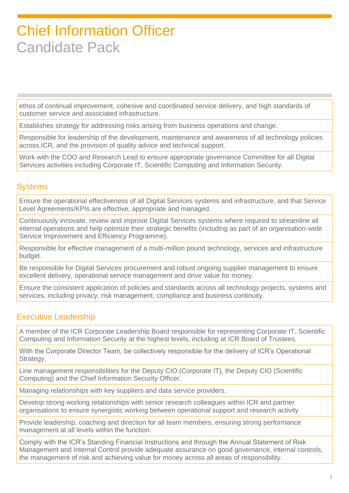ethos of continual improvement, cohesive and coordinated service delivery, and high standards of customer service and associated infrastructure.

Establishes strategy for addressing risks arising from business operations and change.

Responsible for leadership of the development, maintenance and awareness of all technology policies across ICR, and the provision of quality advice and technical support.

Work with the COO and Research Lead to ensure appropriate governance Committee for all Digital Services activities including Corporate IT, Scientific Computing and Information Security.

### **Systems**

Ensure the operational effectiveness of all Digital Services systems and infrastructure, and that Service Level Agreements/KPIs are effective, appropriate and managed.

Continuously innovate, review and improve Digital Services systems where required to streamline all internal operations and help optimize their strategic benefits (including as part of an organisation-wide Service Improvement and Efficiency Programme).

Responsible for effective management of a multi-million pound technology, services and infrastructure budget.

Be responsible for Digital Services procurement and robust ongoing supplier management to ensure excellent delivery, operational service management and drive value for money.

Ensure the consistent application of policies and standards across all technology projects, systems and services, including privacy, risk management, compliance and business continuity.

### Executive Leadership

A member of the ICR Corporate Leadership Board responsible for representing Corporate IT, Scientific Computing and Information Security at the highest levels, including at ICR Board of Trustees.

With the Corporate Director Team, be collectively responsible for the delivery of ICR's Operational Strategy.

Line management responsibilities for the Deputy CIO (Corporate IT), the Deputy CIO (Scientific Computing) and the Chief Information Security Officer.

Managing relationships with key suppliers and data service providers.

Develop strong working relationships with senior research colleagues within ICR and partner organisations to ensure synergistic working between operational support and research activity

Provide leadership, coaching and direction for all team members, ensuring strong performance management at all levels within the function.

Comply with the ICR's Standing Financial Instructions and through the Annual Statement of Risk Management and Internal Control provide adequate assurance on good governance, internal controls, the management of risk and achieving value for money across all areas of responsibility.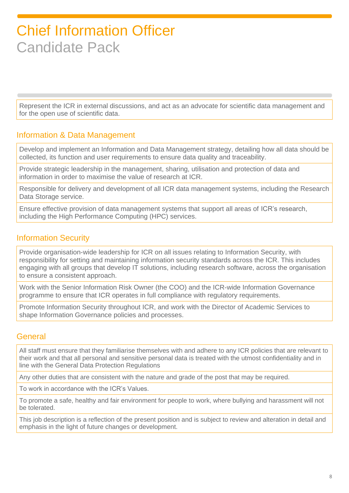Represent the ICR in external discussions, and act as an advocate for scientific data management and for the open use of scientific data.

### Information & Data Management

Develop and implement an Information and Data Management strategy, detailing how all data should be collected, its function and user requirements to ensure data quality and traceability.

Provide strategic leadership in the management, sharing, utilisation and protection of data and information in order to maximise the value of research at ICR.

Responsible for delivery and development of all ICR data management systems, including the Research Data Storage service.

Ensure effective provision of data management systems that support all areas of ICR's research, including the High Performance Computing (HPC) services.

### Information Security

Provide organisation-wide leadership for ICR on all issues relating to Information Security, with responsibility for setting and maintaining information security standards across the ICR. This includes engaging with all groups that develop IT solutions, including research software, across the organisation to ensure a consistent approach.

Work with the Senior Information Risk Owner (the COO) and the ICR-wide Information Governance programme to ensure that ICR operates in full compliance with regulatory requirements.

Promote Information Security throughout ICR, and work with the Director of Academic Services to shape Information Governance policies and processes.

### **General**

All staff must ensure that they familiarise themselves with and adhere to any ICR policies that are relevant to their work and that all personal and sensitive personal data is treated with the utmost confidentiality and in line with the General Data Protection Regulations

Any other duties that are consistent with the nature and grade of the post that may be required.

To work in accordance with the ICR's Values.

To promote a safe, healthy and fair environment for people to work, where bullying and harassment will not be tolerated.

This job description is a reflection of the present position and is subject to review and alteration in detail and emphasis in the light of future changes or development.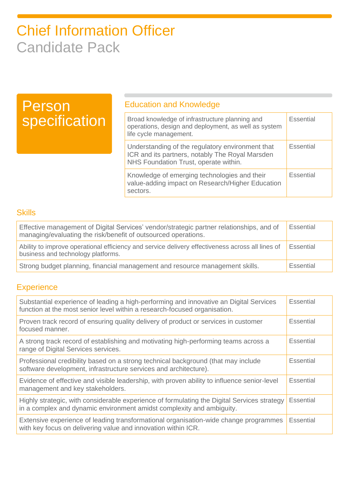### Person specification

### Education and Knowledge

| Broad knowledge of infrastructure planning and<br>operations, design and deployment, as well as system<br>life cycle management.             | <b>Essential</b> |
|----------------------------------------------------------------------------------------------------------------------------------------------|------------------|
| Understanding of the regulatory environment that<br>ICR and its partners, notably The Royal Marsden<br>NHS Foundation Trust, operate within. | <b>Essential</b> |
| Knowledge of emerging technologies and their<br>value-adding impact on Research/Higher Education<br>sectors.                                 | Essential        |

### **Skills**

| Effective management of Digital Services' vendor/strategic partner relationships, and of<br>managing/evaluating the risk/benefit of outsourced operations. | Essential |
|------------------------------------------------------------------------------------------------------------------------------------------------------------|-----------|
| Ability to improve operational efficiency and service delivery effectiveness across all lines of<br>business and technology platforms.                     | Essential |
| Strong budget planning, financial management and resource management skills.                                                                               | Essential |

### **Experience**

| Substantial experience of leading a high-performing and innovative an Digital Services<br>function at the most senior level within a research-focused organisation.  | Essential        |
|----------------------------------------------------------------------------------------------------------------------------------------------------------------------|------------------|
| Proven track record of ensuring quality delivery of product or services in customer<br>focused manner.                                                               | <b>Essential</b> |
| A strong track record of establishing and motivating high-performing teams across a<br>range of Digital Services services.                                           | <b>Essential</b> |
| Professional credibility based on a strong technical background (that may include<br>software development, infrastructure services and architecture).                | <b>Essential</b> |
| Evidence of effective and visible leadership, with proven ability to influence senior-level<br>management and key stakeholders.                                      | Essential        |
| Highly strategic, with considerable experience of formulating the Digital Services strategy<br>in a complex and dynamic environment amidst complexity and ambiguity. | <b>Essential</b> |
| Extensive experience of leading transformational organisation-wide change programmes<br>with key focus on delivering value and innovation within ICR.                | <b>Essential</b> |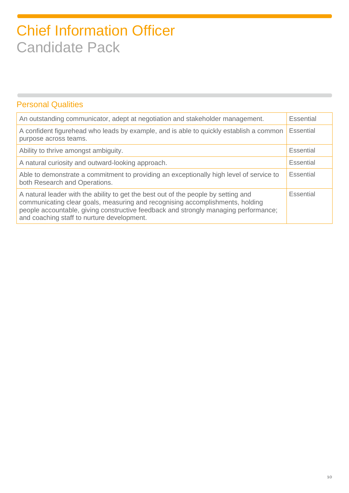### Personal Qualities

| An outstanding communicator, adept at negotiation and stakeholder management.                                                                                                                                                                                                                            | Essential |
|----------------------------------------------------------------------------------------------------------------------------------------------------------------------------------------------------------------------------------------------------------------------------------------------------------|-----------|
| A confident figurehead who leads by example, and is able to quickly establish a common<br>purpose across teams.                                                                                                                                                                                          | Essential |
| Ability to thrive amongst ambiguity.                                                                                                                                                                                                                                                                     | Essential |
| A natural curiosity and outward-looking approach.                                                                                                                                                                                                                                                        | Essential |
| Able to demonstrate a commitment to providing an exceptionally high level of service to<br>both Research and Operations.                                                                                                                                                                                 | Essential |
| A natural leader with the ability to get the best out of the people by setting and<br>communicating clear goals, measuring and recognising accomplishments, holding<br>people accountable, giving constructive feedback and strongly managing performance;<br>and coaching staff to nurture development. | Essential |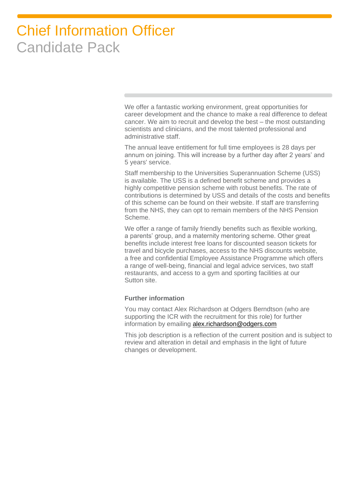We offer a fantastic working environment, great opportunities for career development and the chance to make a real difference to defeat cancer. We aim to recruit and develop the best – the most outstanding scientists and clinicians, and the most talented professional and administrative staff.

The annual leave entitlement for full time employees is 28 days per annum on joining. This will increase by a further day after 2 years' and 5 years' service.

Staff membership to the Universities Superannuation Scheme (USS) is available. The USS is a defined benefit scheme and provides a highly competitive pension scheme with robust benefits. The rate of contributions is determined by USS and details of the costs and benefits of this scheme can be found on their website. If staff are transferring from the NHS, they can opt to remain members of the NHS Pension Scheme.

We offer a range of family friendly benefits such as flexible working, a parents' group, and a maternity mentoring scheme. Other great benefits include interest free loans for discounted season tickets for travel and bicycle purchases, access to the NHS discounts website, a free and confidential Employee Assistance Programme which offers a range of well-being, financial and legal advice services, two staff restaurants, and access to a gym and sporting facilities at our Sutton site.

#### **Further information**

You may contact Alex Richardson at Odgers Berndtson (who are supporting the ICR with the recruitment for this role) for further information by emailing [alex.richardson@odgers.com](mailto:alex.richardson@odgers.com)

This job description is a reflection of the current position and is subject to review and alteration in detail and emphasis in the light of future changes or development.